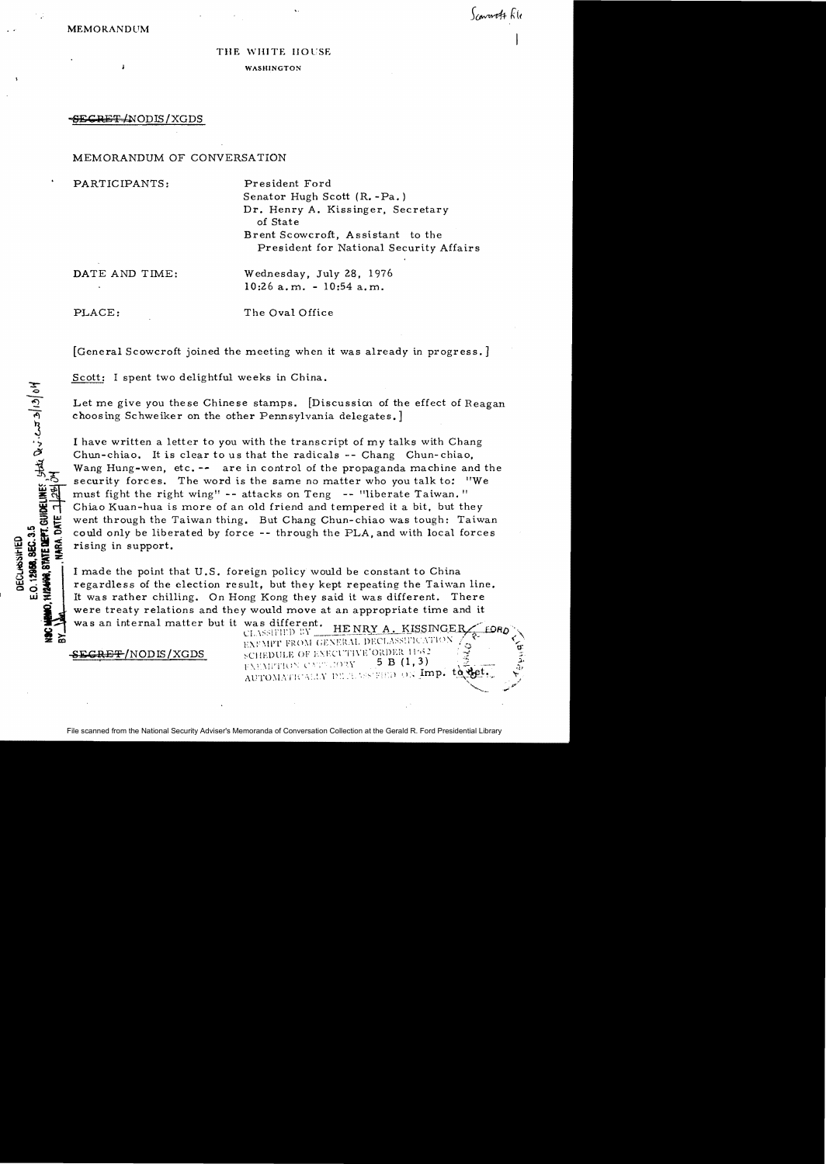#### THE WHITE HOUSE

WASHINGTON

SECRET (NODIS / XGDS

## MEMORANDUM OF CONVERSATION

PARTICIPANTS: President Ford Senator Hugh Scott (R. -Pa.) Dr. Henry A. Kissinger, Secretary of State Brent Scowcroft, Assistant to the President for National Security Affairs

DATE AND TIME: Wednesday, July 28, 1976 10:26 a. m. - 10:54 a. m.

PLACE: The Oval Office

E.O. 12988, SEC. 3.5<br>HIZAHAG, STATE DEPT. GUIDELINES , State Devi-Cat 20/12/04<br>HIZAHAG, STATE DEPT. TI 29/04

E.O. 12968, SEC. 3.5 **DECLASSIMED** 

MARA. DATE 1

[General Scowcroft joined the meeting when it was already in progress.]

Scott: I spent two delightful weeks in China.

Let me give you these Chinese stamps. [Discussion of the effect of Reagan choosing Schweiker on the other Pennsylvania delegates.]

I have written a letter to you with the transcript of my talks with Chang Chun-chiao. It is clear to us that the radicals  $-$ - Chang Chun-chiao, Wang Hung-wen, etc. -- are in control of the propaganda machine and the security forces. The word is the same no matter who you talk to: "We must fight the right wing" -- attacks on Teng -- "liberate Taiwan." Chiao Kuan-hua is more of an old friend and tempered it a bit, but they went through the Taiwan thing. But Chang Chun-chiao was tough: Taiwan could only be liberated by force -- through the PLA, and with local forces rising in support.

I made the point that U.S. foreign policy would be constant to China regardless of the election result, but they kept repeating the Taiwan line. It was rather chilling. On Hong Kong they said it was different. There were treaty relations and they would move at an appropriate time and it was an internal matter but it was different. HENRY A. KISSINGER

EXFMPT FROM GENERAL DECLASSIFICATION SEGRET/NODIS/XGDS sCHEDULE OF EXECUTIVE'ORDER 11:52 AUTOMATICALLY BELLASS FEED ON Imp. to  $\sum_{i=1}^n$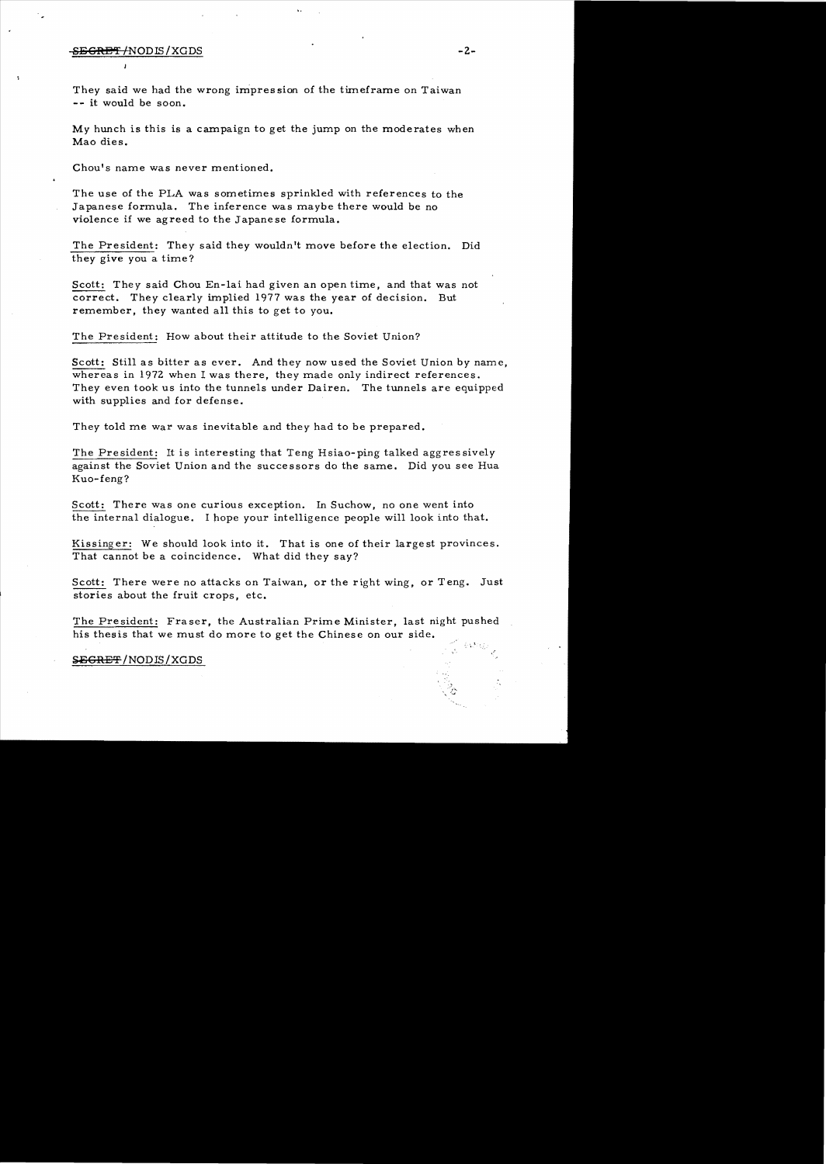# S<del>EGRET/</del>NODIS/XGDS -2-

They said we had the wrong impression of the timeframe on Taiwan -- it would be soon.

My hunch is this is a campaign to get the jump on the moderates when Mao dies.

Chou's name was never mentioned.

The use of the PLA was sometimes sprinkled with references to the Japanese formula. The inference was maybe there would be no violence if we agreed to the Japanese formula.

The President: They said they wouldn't move before the election. Did they give you a time?

Scott: They said Chou En-lai had given an open time, and that was not correct. They clearly implied 1977 was the year of decision. But remember, they wanted all this to get to you.

The President: How about their attitude to the Soviet Union?

Scott: Still as bitter as ever. And they now used the Soviet Union by name, whereas in 1972 when I was there, they made only indirect references. They even took us into the tunnels under Dairen. The tunnels are equipped with supplies and for defense.

They told me war was inevitable and they had to be prepared.

The President: It is interesting that Teng Hsiao-ping talked aggressively against the Soviet Union and the successors do the same. Did you see Hua Kuo-feng?

Scott: There was one curious exception. In Suchow, no one went into the internal dialogue. I hope your intelligence people will look into that.

Kissinger: We should look into it. That is one of their largest provinces. That cannot be a coincidence. What did they say?

Scott: There were no attacks on Taiwan, or the right wing, or Teng. Just stories about the fruit crops, etc.

The President: Fraser, the Australian Prime Minister, last night pushed his thesis that we must do more to get the Chinese on our side.

**SEGRET/NODIS/XGDS**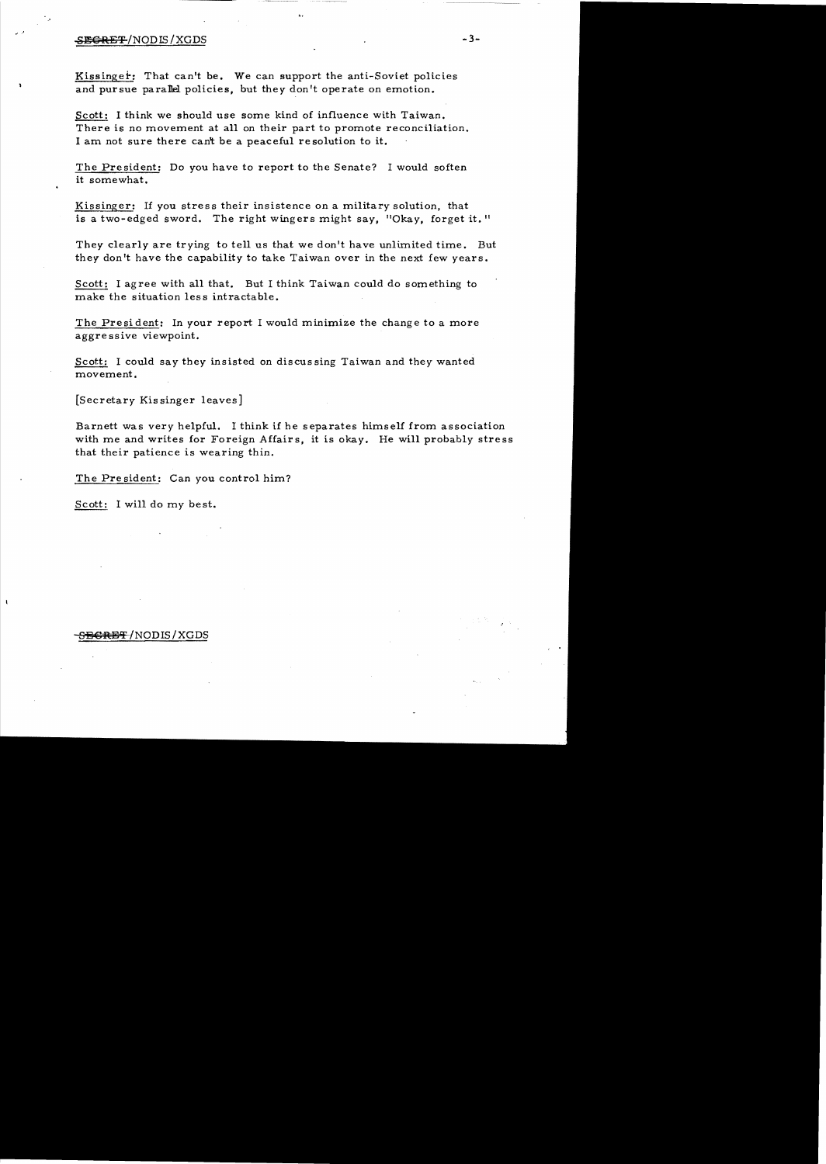### SE<del>GRET</del>/NODIS/XGDS

Kissinger: That can't be. We can support the anti-Soviet policies and pursue para1lel policies, but they don't operate on emotion.

Scott: I think we should use some kind of influence with Taiwan. There is no movement at all on their part to promote reconciliation. I am not sure there can't be a peaceful re solution to it.

The President: Do you have to report to the Senate? I would soften it somewhat.

Kissinger: If you stress their insistence on a military solution, that is a two-edged sword. The right wingers might say, "Okay, forget it."

They clearly are trying to tell us that we don't have unlimited time. But they don't have the capability to take Taiwan over in the next few years.

Scott: I agree with all that. But I think Taiwan could do something to make the situation less intractable.

The President: In your report I would minimize the change to a more aggre ssive viewpoint.

Scott: I could say they insisted on discussing Taiwan and they wanted movement.

[Secretary Kis singer leaves]

Barnett was very helpful. I think if he separates himself from association with me and writes for Foreign Affairs, it is okay. He will probably stress that their patience is wearing thin.

The President: Can you control him?

Scott: I will do my best.

### S<del>ECRET</del>/NODIS/XGDS

 $-3-$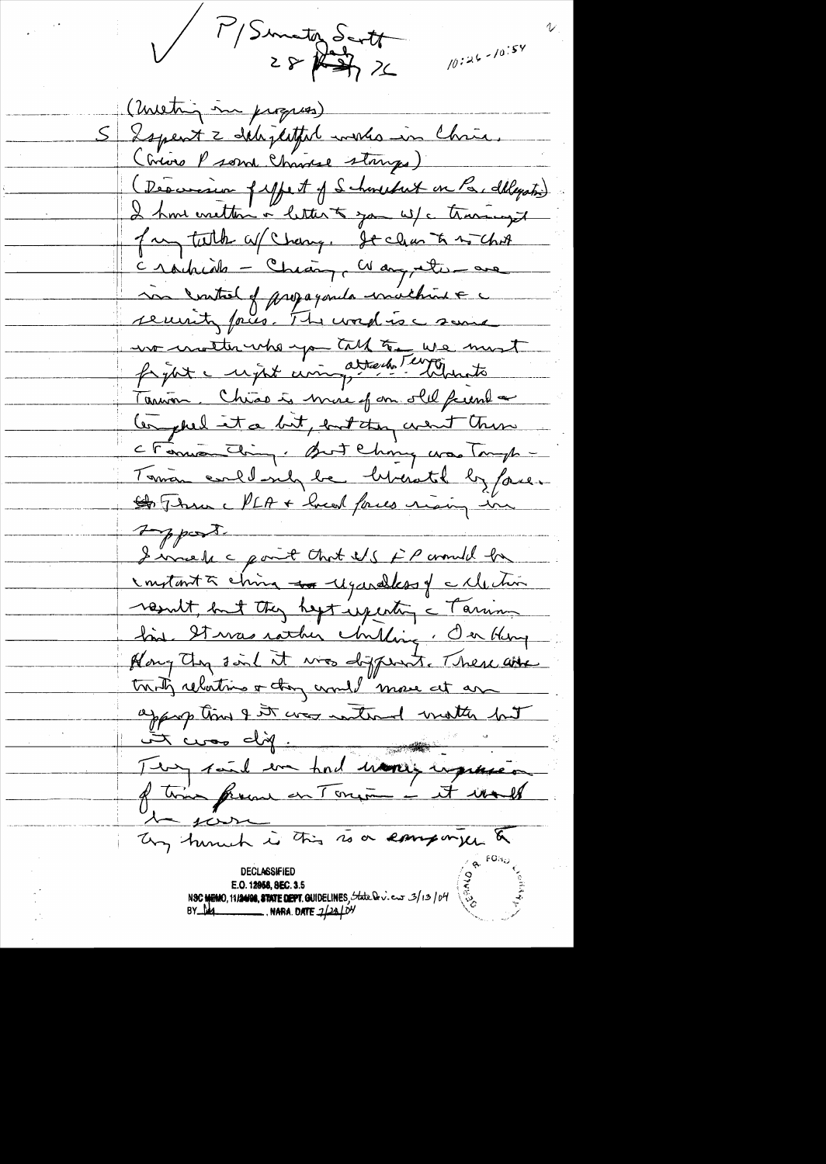V P/Sunatez Santt  $10:26 - 10:54$ ( meeting in progres) S Sopent 2 delighted winds in Chris. (Criso Pson Chrisse storys) (Descenaire filhet of Schweibut un Par delegation) I home metten à letter à za W/c travaugs for talk of Change St clan to 2 chit Crochide - Cheang, Wang, etc. are son vatel of propaganda unalhoute no motte who you talk to we must Tanvon. Chias is mire of on old freme a Compteel it a bit, ent they went them Cromontin, Butching was Tomp -Toman enllarly be liberated by fore. St Thru MLA + head forces rising in typost. I invested point that it's FP around by instant à china -sa régardless y a Mechin result, but they hapt imperting a Tarring fine Sterras rather chilling. On Henry Hong they sind it was disposit. There are trunty relations of they would move at an approp time of it was interest weather but Two dif :<br>Two said in had words imposed  $-100$ Ung turned is this is a company & **DECLASSIFIED** E.O. 12958, SEC. 3.5 NSC MEMO, 11/24/08, STATE DEPT. GUIDELINES, State Dev. eur 3/13/04  $BY$   $M$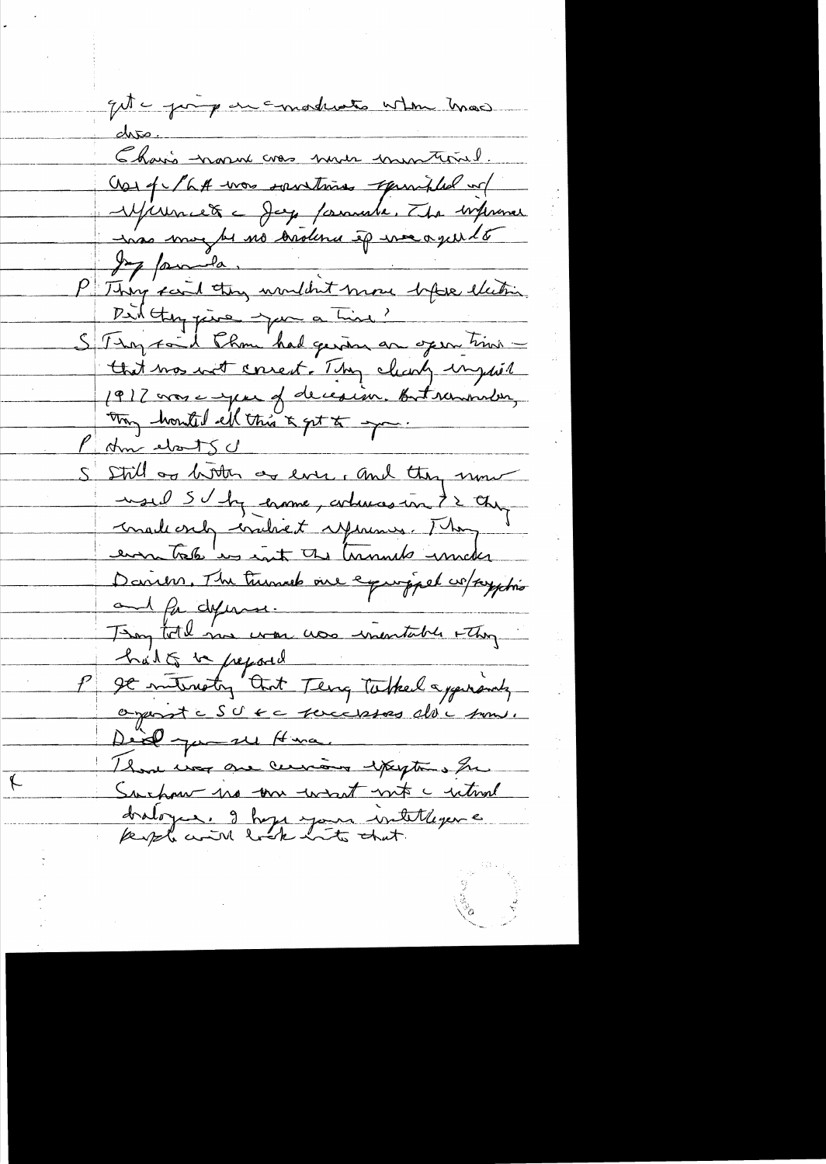quite princip en constructs when mas. dres. <u> Chais nous vas nun univertinel.</u> Nos q la A vous soustimes apunibles et Jeg pour le no brolena ép me agus le Did they jure jum a time? Stay ford than had gening an open time that mos with correct. They clearly impho? 1917 vous empere of decesion. But remonder, May honted ell this & get to you. P Am elsots c S Still as bitter as ever, and they now used SV by crome, arburas in t2 chip malecrely concluent references. They ermetale in int the terminals innates Daniers, The turned one exproppel co/payphis and for defermer. They told me was use inentable when had to be pepared It interesting that Teng Tobel approvely organiste SU KC Touccesses alde soms. Deid gu su Hina. Those was one cervain exceptions for Suchau no un want not c utual dralogue. I hope your intellegence

 $\leftarrow$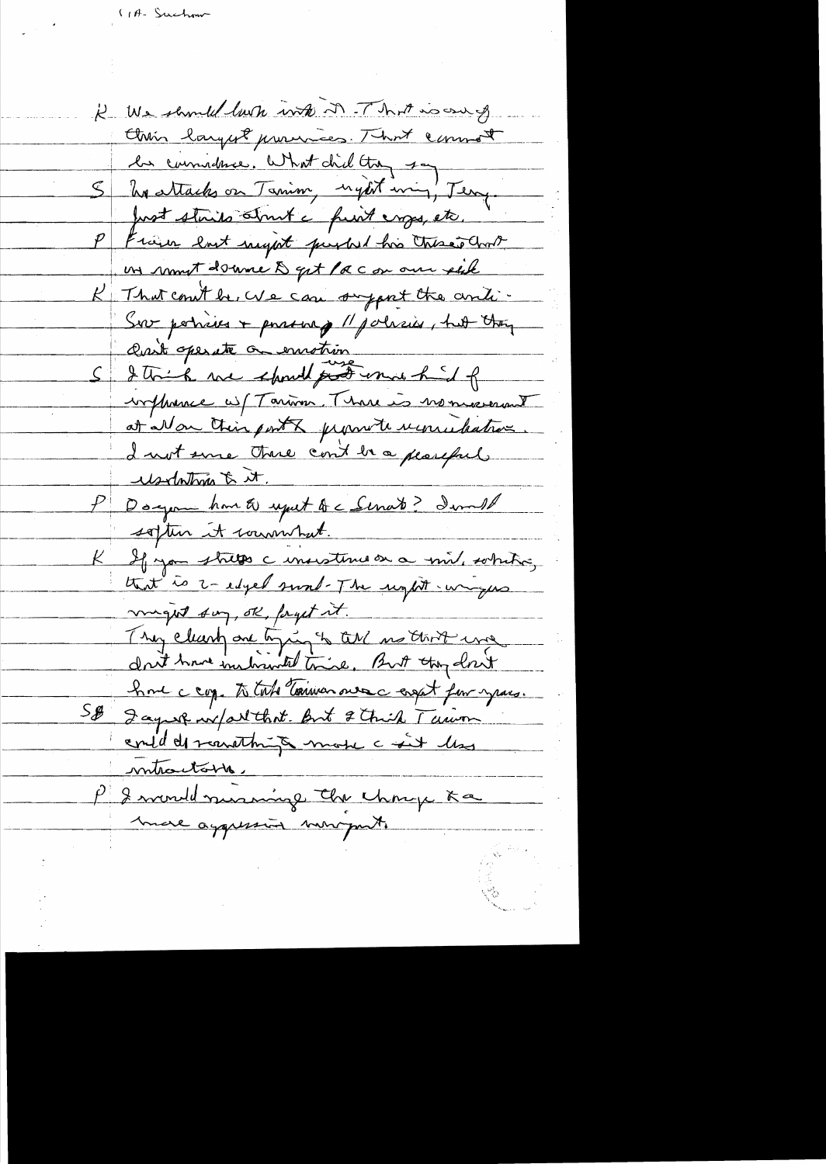K We should look with it . That is our of Chin largest provinces. That comment les commetances. What did they say S hasttacks on Tanim, nyest min, Teng. Just staits strut a funt emps, etc. P Frain last night purbed his these and un rumit donne & get / a c on our est K That could be, We can support the anti-Sur poticies + possering // policies, hut they assit operate on emotion S I think we should proteine hid of influence uf Tarina. There is no married at Non their ports jugenete requirement I not some there cont be a pearful. <u>usedntma & it.</u> P Dogement home to uput to c Servate? Iwould soften it commitment. K If you stress a monsterne on a mil, sobiling that is i-edged sund-The unpt -ungers maget suy, ok, forget it. They clearly one tying to tal no thirt was drit have instructed trice. But they don't home cap. to take toninon ourse engat for years. S\$ Jagust w/art that But & Chick Turin contil de remarching mode c sit les <u>nutractable,</u> P I would nursing the change Ka more aggression monogants